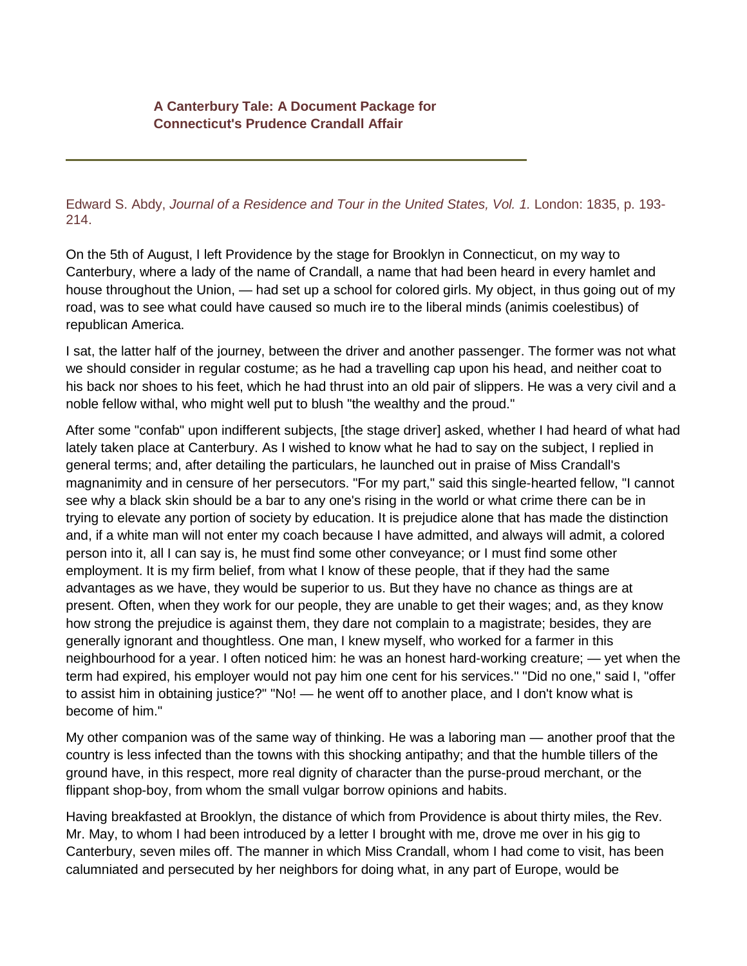## **A Canterbury Tale: A Document Package for Connecticut's Prudence Crandall Affair**

Edward S. Abdy, *Journal of a Residence and Tour in the United States, Vol. 1.* London: 1835, p. 193- 214.

On the 5th of August, I left Providence by the stage for Brooklyn in Connecticut, on my way to Canterbury, where a lady of the name of Crandall, a name that had been heard in every hamlet and house throughout the Union, — had set up a school for colored girls. My object, in thus going out of my road, was to see what could have caused so much ire to the liberal minds (animis coelestibus) of republican America.

I sat, the latter half of the journey, between the driver and another passenger. The former was not what we should consider in regular costume; as he had a travelling cap upon his head, and neither coat to his back nor shoes to his feet, which he had thrust into an old pair of slippers. He was a very civil and a noble fellow withal, who might well put to blush "the wealthy and the proud."

After some "confab" upon indifferent subjects, [the stage driver] asked, whether I had heard of what had lately taken place at Canterbury. As I wished to know what he had to say on the subject, I replied in general terms; and, after detailing the particulars, he launched out in praise of Miss Crandall's magnanimity and in censure of her persecutors. "For my part," said this single-hearted fellow, "I cannot see why a black skin should be a bar to any one's rising in the world or what crime there can be in trying to elevate any portion of society by education. It is prejudice alone that has made the distinction and, if a white man will not enter my coach because I have admitted, and always will admit, a colored person into it, all I can say is, he must find some other conveyance; or I must find some other employment. It is my firm belief, from what I know of these people, that if they had the same advantages as we have, they would be superior to us. But they have no chance as things are at present. Often, when they work for our people, they are unable to get their wages; and, as they know how strong the prejudice is against them, they dare not complain to a magistrate; besides, they are generally ignorant and thoughtless. One man, I knew myself, who worked for a farmer in this neighbourhood for a year. I often noticed him: he was an honest hard-working creature; — yet when the term had expired, his employer would not pay him one cent for his services." "Did no one," said I, "offer to assist him in obtaining justice?" "No! — he went off to another place, and I don't know what is become of him."

My other companion was of the same way of thinking. He was a laboring man — another proof that the country is less infected than the towns with this shocking antipathy; and that the humble tillers of the ground have, in this respect, more real dignity of character than the purse-proud merchant, or the flippant shop-boy, from whom the small vulgar borrow opinions and habits.

Having breakfasted at Brooklyn, the distance of which from Providence is about thirty miles, the Rev. Mr. May, to whom I had been introduced by a letter I brought with me, drove me over in his gig to Canterbury, seven miles off. The manner in which Miss Crandall, whom I had come to visit, has been calumniated and persecuted by her neighbors for doing what, in any part of Europe, would be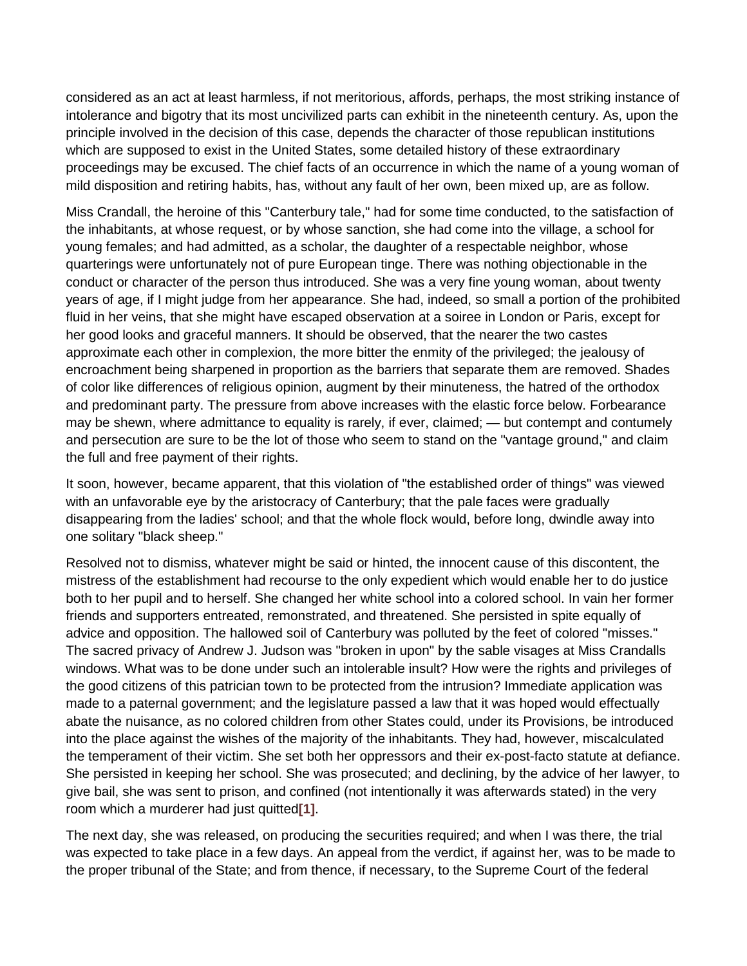considered as an act at least harmless, if not meritorious, affords, perhaps, the most striking instance of intolerance and bigotry that its most uncivilized parts can exhibit in the nineteenth century. As, upon the principle involved in the decision of this case, depends the character of those republican institutions which are supposed to exist in the United States, some detailed history of these extraordinary proceedings may be excused. The chief facts of an occurrence in which the name of a young woman of mild disposition and retiring habits, has, without any fault of her own, been mixed up, are as follow.

Miss Crandall, the heroine of this "Canterbury tale," had for some time conducted, to the satisfaction of the inhabitants, at whose request, or by whose sanction, she had come into the village, a school for young females; and had admitted, as a scholar, the daughter of a respectable neighbor, whose quarterings were unfortunately not of pure European tinge. There was nothing objectionable in the conduct or character of the person thus introduced. She was a very fine young woman, about twenty years of age, if I might judge from her appearance. She had, indeed, so small a portion of the prohibited fluid in her veins, that she might have escaped observation at a soiree in London or Paris, except for her good looks and graceful manners. It should be observed, that the nearer the two castes approximate each other in complexion, the more bitter the enmity of the privileged; the jealousy of encroachment being sharpened in proportion as the barriers that separate them are removed. Shades of color like differences of religious opinion, augment by their minuteness, the hatred of the orthodox and predominant party. The pressure from above increases with the elastic force below. Forbearance may be shewn, where admittance to equality is rarely, if ever, claimed; — but contempt and contumely and persecution are sure to be the lot of those who seem to stand on the "vantage ground," and claim the full and free payment of their rights.

It soon, however, became apparent, that this violation of "the established order of things" was viewed with an unfavorable eye by the aristocracy of Canterbury; that the pale faces were gradually disappearing from the ladies' school; and that the whole flock would, before long, dwindle away into one solitary "black sheep."

Resolved not to dismiss, whatever might be said or hinted, the innocent cause of this discontent, the mistress of the establishment had recourse to the only expedient which would enable her to do justice both to her pupil and to herself. She changed her white school into a colored school. In vain her former friends and supporters entreated, remonstrated, and threatened. She persisted in spite equally of advice and opposition. The hallowed soil of Canterbury was polluted by the feet of colored "misses." The sacred privacy of Andrew J. Judson was "broken in upon" by the sable visages at Miss Crandalls windows. What was to be done under such an intolerable insult? How were the rights and privileges of the good citizens of this patrician town to be protected from the intrusion? Immediate application was made to a paternal government; and the legislature passed a law that it was hoped would effectually abate the nuisance, as no colored children from other States could, under its Provisions, be introduced into the place against the wishes of the majority of the inhabitants. They had, however, miscalculated the temperament of their victim. She set both her oppressors and their ex-post-facto statute at defiance. She persisted in keeping her school. She was prosecuted; and declining, by the advice of her lawyer, to give bail, she was sent to prison, and confined (not intentionally it was afterwards stated) in the very room which a murderer had just quitted**[\[1\]](http://www.yale.edu/glc/crandall/04.htm%231)**.

The next day, she was released, on producing the securities required; and when I was there, the trial was expected to take place in a few days. An appeal from the verdict, if against her, was to be made to the proper tribunal of the State; and from thence, if necessary, to the Supreme Court of the federal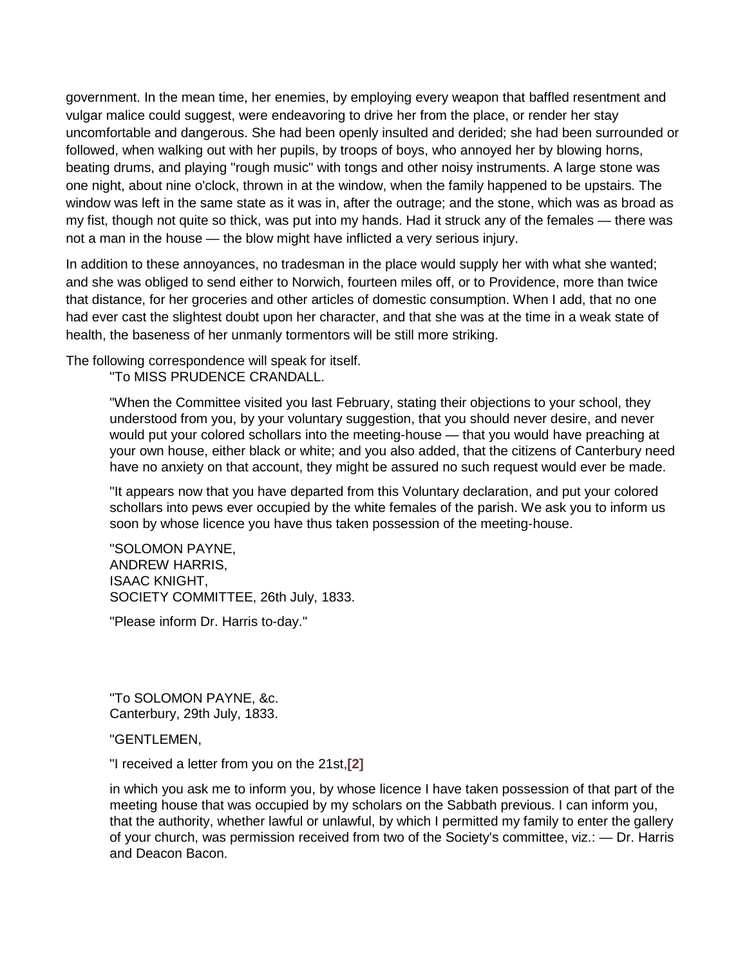government. In the mean time, her enemies, by employing every weapon that baffled resentment and vulgar malice could suggest, were endeavoring to drive her from the place, or render her stay uncomfortable and dangerous. She had been openly insulted and derided; she had been surrounded or followed, when walking out with her pupils, by troops of boys, who annoyed her by blowing horns, beating drums, and playing "rough music" with tongs and other noisy instruments. A large stone was one night, about nine o'clock, thrown in at the window, when the family happened to be upstairs. The window was left in the same state as it was in, after the outrage; and the stone, which was as broad as my fist, though not quite so thick, was put into my hands. Had it struck any of the females — there was not a man in the house — the blow might have inflicted a very serious injury.

In addition to these annoyances, no tradesman in the place would supply her with what she wanted; and she was obliged to send either to Norwich, fourteen miles off, or to Providence, more than twice that distance, for her groceries and other articles of domestic consumption. When I add, that no one had ever cast the slightest doubt upon her character, and that she was at the time in a weak state of health, the baseness of her unmanly tormentors will be still more striking.

The following correspondence will speak for itself. "To MISS PRUDENCE CRANDALL.

> "When the Committee visited you last February, stating their objections to your school, they understood from you, by your voluntary suggestion, that you should never desire, and never would put your colored schollars into the meeting-house — that you would have preaching at your own house, either black or white; and you also added, that the citizens of Canterbury need have no anxiety on that account, they might be assured no such request would ever be made.

"It appears now that you have departed from this Voluntary declaration, and put your colored schollars into pews ever occupied by the white females of the parish. We ask you to inform us soon by whose licence you have thus taken possession of the meeting-house.

"SOLOMON PAYNE, ANDREW HARRIS, ISAAC KNIGHT, SOCIETY COMMITTEE, 26th July, 1833.

"Please inform Dr. Harris to-day."

"To SOLOMON PAYNE, &c. Canterbury, 29th July, 1833.

"GENTLEMEN,

"I received a letter from you on the 21st,**[\[2\]](http://www.yale.edu/glc/crandall/04.htm%232)**

in which you ask me to inform you, by whose licence I have taken possession of that part of the meeting house that was occupied by my scholars on the Sabbath previous. I can inform you, that the authority, whether lawful or unlawful, by which I permitted my family to enter the gallery of your church, was permission received from two of the Society's committee, viz.: — Dr. Harris and Deacon Bacon.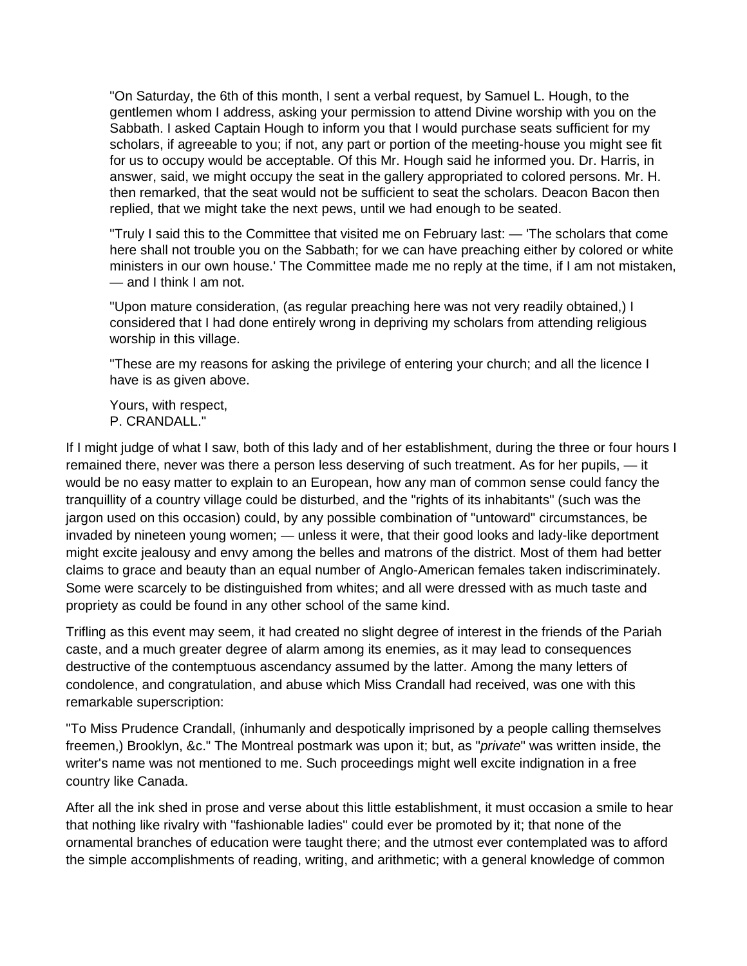"On Saturday, the 6th of this month, I sent a verbal request, by Samuel L. Hough, to the gentlemen whom I address, asking your permission to attend Divine worship with you on the Sabbath. I asked Captain Hough to inform you that I would purchase seats sufficient for my scholars, if agreeable to you; if not, any part or portion of the meeting-house you might see fit for us to occupy would be acceptable. Of this Mr. Hough said he informed you. Dr. Harris, in answer, said, we might occupy the seat in the gallery appropriated to colored persons. Mr. H. then remarked, that the seat would not be sufficient to seat the scholars. Deacon Bacon then replied, that we might take the next pews, until we had enough to be seated.

"Truly I said this to the Committee that visited me on February last: — 'The scholars that come here shall not trouble you on the Sabbath; for we can have preaching either by colored or white ministers in our own house.' The Committee made me no reply at the time, if I am not mistaken, — and I think I am not.

"Upon mature consideration, (as regular preaching here was not very readily obtained,) I considered that I had done entirely wrong in depriving my scholars from attending religious worship in this village.

"These are my reasons for asking the privilege of entering your church; and all the licence I have is as given above.

Yours, with respect, P. CRANDALL."

If I might judge of what I saw, both of this lady and of her establishment, during the three or four hours I remained there, never was there a person less deserving of such treatment. As for her pupils, — it would be no easy matter to explain to an European, how any man of common sense could fancy the tranquillity of a country village could be disturbed, and the "rights of its inhabitants" (such was the jargon used on this occasion) could, by any possible combination of "untoward" circumstances, be invaded by nineteen young women; — unless it were, that their good looks and lady-like deportment might excite jealousy and envy among the belles and matrons of the district. Most of them had better claims to grace and beauty than an equal number of Anglo-American females taken indiscriminately. Some were scarcely to be distinguished from whites; and all were dressed with as much taste and propriety as could be found in any other school of the same kind.

Trifling as this event may seem, it had created no slight degree of interest in the friends of the Pariah caste, and a much greater degree of alarm among its enemies, as it may lead to consequences destructive of the contemptuous ascendancy assumed by the latter. Among the many letters of condolence, and congratulation, and abuse which Miss Crandall had received, was one with this remarkable superscription:

"To Miss Prudence Crandall, (inhumanly and despotically imprisoned by a people calling themselves freemen,) Brooklyn, &c." The Montreal postmark was upon it; but, as "*private*" was written inside, the writer's name was not mentioned to me. Such proceedings might well excite indignation in a free country like Canada.

After all the ink shed in prose and verse about this little establishment, it must occasion a smile to hear that nothing like rivalry with "fashionable ladies" could ever be promoted by it; that none of the ornamental branches of education were taught there; and the utmost ever contemplated was to afford the simple accomplishments of reading, writing, and arithmetic; with a general knowledge of common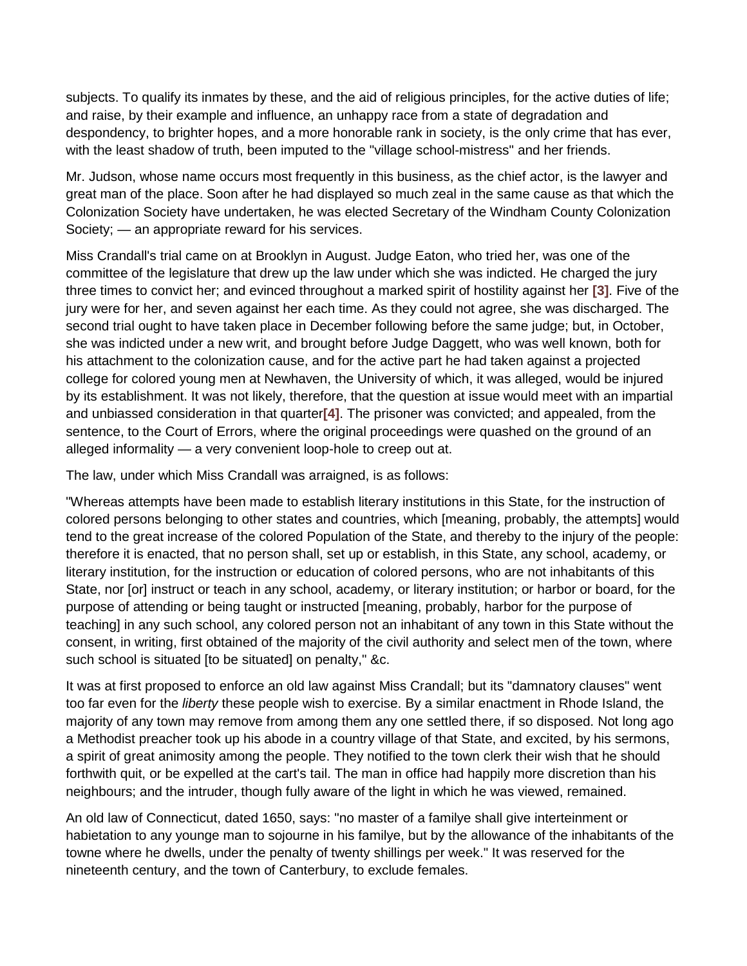subjects. To qualify its inmates by these, and the aid of religious principles, for the active duties of life; and raise, by their example and influence, an unhappy race from a state of degradation and despondency, to brighter hopes, and a more honorable rank in society, is the only crime that has ever, with the least shadow of truth, been imputed to the "village school-mistress" and her friends.

Mr. Judson, whose name occurs most frequently in this business, as the chief actor, is the lawyer and great man of the place. Soon after he had displayed so much zeal in the same cause as that which the Colonization Society have undertaken, he was elected Secretary of the Windham County Colonization Society; — an appropriate reward for his services.

Miss Crandall's trial came on at Brooklyn in August. Judge Eaton, who tried her, was one of the committee of the legislature that drew up the law under which she was indicted. He charged the jury three times to convict her; and evinced throughout a marked spirit of hostility against her **[\[3\]](http://www.yale.edu/glc/crandall/04.htm%233)**. Five of the jury were for her, and seven against her each time. As they could not agree, she was discharged. The second trial ought to have taken place in December following before the same judge; but, in October, she was indicted under a new writ, and brought before Judge Daggett, who was well known, both for his attachment to the colonization cause, and for the active part he had taken against a projected college for colored young men at Newhaven, the University of which, it was alleged, would be injured by its establishment. It was not likely, therefore, that the question at issue would meet with an impartial and unbiassed consideration in that quarter**[\[4\]](http://www.yale.edu/glc/crandall/04.htm%234)**. The prisoner was convicted; and appealed, from the sentence, to the Court of Errors, where the original proceedings were quashed on the ground of an alleged informality — a very convenient loop-hole to creep out at.

The law, under which Miss Crandall was arraigned, is as follows:

"Whereas attempts have been made to establish literary institutions in this State, for the instruction of colored persons belonging to other states and countries, which [meaning, probably, the attempts] would tend to the great increase of the colored Population of the State, and thereby to the injury of the people: therefore it is enacted, that no person shall, set up or establish, in this State, any school, academy, or literary institution, for the instruction or education of colored persons, who are not inhabitants of this State, nor [or] instruct or teach in any school, academy, or literary institution; or harbor or board, for the purpose of attending or being taught or instructed [meaning, probably, harbor for the purpose of teaching] in any such school, any colored person not an inhabitant of any town in this State without the consent, in writing, first obtained of the majority of the civil authority and select men of the town, where such school is situated [to be situated] on penalty," &c.

It was at first proposed to enforce an old law against Miss Crandall; but its "damnatory clauses" went too far even for the *liberty* these people wish to exercise. By a similar enactment in Rhode Island, the majority of any town may remove from among them any one settled there, if so disposed. Not long ago a Methodist preacher took up his abode in a country village of that State, and excited, by his sermons, a spirit of great animosity among the people. They notified to the town clerk their wish that he should forthwith quit, or be expelled at the cart's tail. The man in office had happily more discretion than his neighbours; and the intruder, though fully aware of the light in which he was viewed, remained.

An old law of Connecticut, dated 1650, says: "no master of a familye shall give interteinment or habietation to any younge man to sojourne in his familye, but by the allowance of the inhabitants of the towne where he dwells, under the penalty of twenty shillings per week." It was reserved for the nineteenth century, and the town of Canterbury, to exclude females.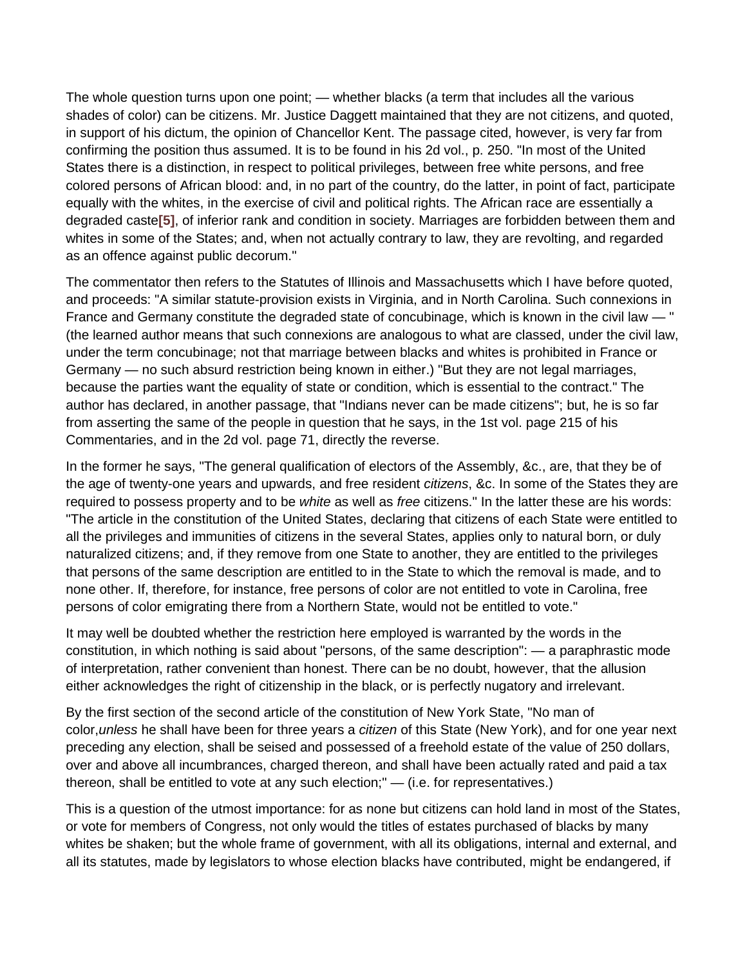The whole question turns upon one point; — whether blacks (a term that includes all the various shades of color) can be citizens. Mr. Justice Daggett maintained that they are not citizens, and quoted, in support of his dictum, the opinion of Chancellor Kent. The passage cited, however, is very far from confirming the position thus assumed. It is to be found in his 2d vol., p. 250. "In most of the United States there is a distinction, in respect to political privileges, between free white persons, and free colored persons of African blood: and, in no part of the country, do the latter, in point of fact, participate equally with the whites, in the exercise of civil and political rights. The African race are essentially a degraded caste**[\[5\]](http://www.yale.edu/glc/crandall/04.htm%235)**, of inferior rank and condition in society. Marriages are forbidden between them and whites in some of the States; and, when not actually contrary to law, they are revolting, and regarded as an offence against public decorum."

The commentator then refers to the Statutes of Illinois and Massachusetts which I have before quoted, and proceeds: "A similar statute-provision exists in Virginia, and in North Carolina. Such connexions in France and Germany constitute the degraded state of concubinage, which is known in the civil law — " (the learned author means that such connexions are analogous to what are classed, under the civil law, under the term concubinage; not that marriage between blacks and whites is prohibited in France or Germany — no such absurd restriction being known in either.) "But they are not legal marriages, because the parties want the equality of state or condition, which is essential to the contract." The author has declared, in another passage, that "Indians never can be made citizens"; but, he is so far from asserting the same of the people in question that he says, in the 1st vol. page 215 of his Commentaries, and in the 2d vol. page 71, directly the reverse.

In the former he says, "The general qualification of electors of the Assembly, &c., are, that they be of the age of twenty-one years and upwards, and free resident *citizens*, &c. In some of the States they are required to possess property and to be *white* as well as *free* citizens." In the latter these are his words: "The article in the constitution of the United States, declaring that citizens of each State were entitled to all the privileges and immunities of citizens in the several States, applies only to natural born, or duly naturalized citizens; and, if they remove from one State to another, they are entitled to the privileges that persons of the same description are entitled to in the State to which the removal is made, and to none other. If, therefore, for instance, free persons of color are not entitled to vote in Carolina, free persons of color emigrating there from a Northern State, would not be entitled to vote."

It may well be doubted whether the restriction here employed is warranted by the words in the constitution, in which nothing is said about "persons, of the same description": — a paraphrastic mode of interpretation, rather convenient than honest. There can be no doubt, however, that the allusion either acknowledges the right of citizenship in the black, or is perfectly nugatory and irrelevant.

By the first section of the second article of the constitution of New York State, "No man of color,*unless* he shall have been for three years a *citizen* of this State (New York), and for one year next preceding any election, shall be seised and possessed of a freehold estate of the value of 250 dollars, over and above all incumbrances, charged thereon, and shall have been actually rated and paid a tax thereon, shall be entitled to vote at any such election;" — (i.e. for representatives.)

This is a question of the utmost importance: for as none but citizens can hold land in most of the States, or vote for members of Congress, not only would the titles of estates purchased of blacks by many whites be shaken; but the whole frame of government, with all its obligations, internal and external, and all its statutes, made by legislators to whose election blacks have contributed, might be endangered, if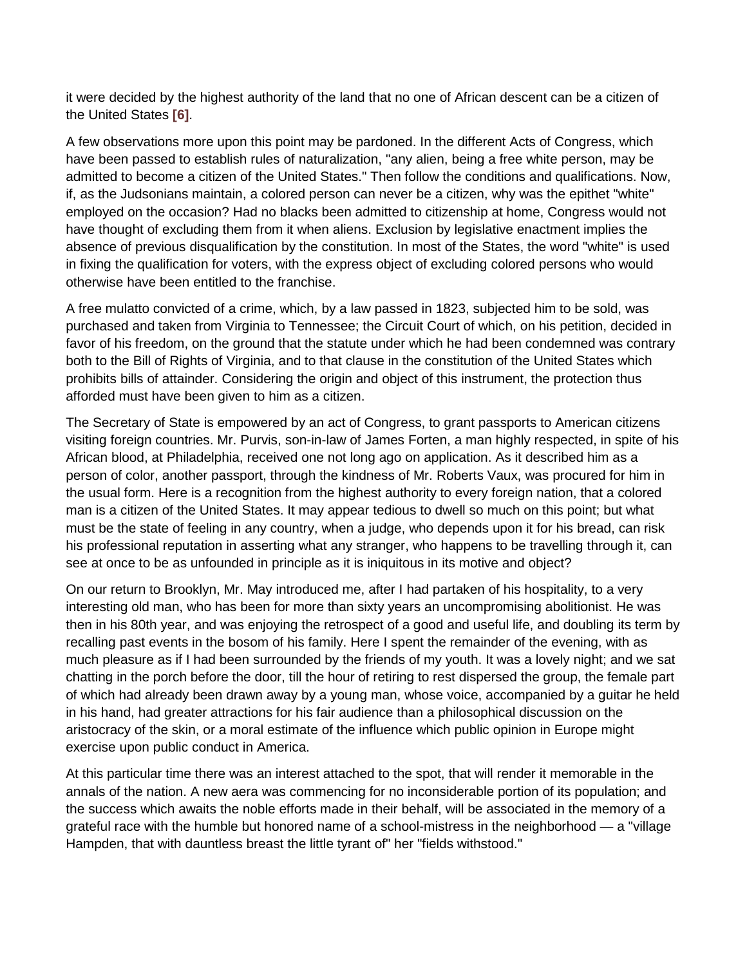it were decided by the highest authority of the land that no one of African descent can be a citizen of the United States **[\[6\]](http://www.yale.edu/glc/crandall/04.htm%236)**.

A few observations more upon this point may be pardoned. In the different Acts of Congress, which have been passed to establish rules of naturalization, "any alien, being a free white person, may be admitted to become a citizen of the United States." Then follow the conditions and qualifications. Now, if, as the Judsonians maintain, a colored person can never be a citizen, why was the epithet "white" employed on the occasion? Had no blacks been admitted to citizenship at home, Congress would not have thought of excluding them from it when aliens. Exclusion by legislative enactment implies the absence of previous disqualification by the constitution. In most of the States, the word "white" is used in fixing the qualification for voters, with the express object of excluding colored persons who would otherwise have been entitled to the franchise.

A free mulatto convicted of a crime, which, by a law passed in 1823, subjected him to be sold, was purchased and taken from Virginia to Tennessee; the Circuit Court of which, on his petition, decided in favor of his freedom, on the ground that the statute under which he had been condemned was contrary both to the Bill of Rights of Virginia, and to that clause in the constitution of the United States which prohibits bills of attainder. Considering the origin and object of this instrument, the protection thus afforded must have been given to him as a citizen.

The Secretary of State is empowered by an act of Congress, to grant passports to American citizens visiting foreign countries. Mr. Purvis, son-in-law of James Forten, a man highly respected, in spite of his African blood, at Philadelphia, received one not long ago on application. As it described him as a person of color, another passport, through the kindness of Mr. Roberts Vaux, was procured for him in the usual form. Here is a recognition from the highest authority to every foreign nation, that a colored man is a citizen of the United States. It may appear tedious to dwell so much on this point; but what must be the state of feeling in any country, when a judge, who depends upon it for his bread, can risk his professional reputation in asserting what any stranger, who happens to be travelling through it, can see at once to be as unfounded in principle as it is iniquitous in its motive and object?

On our return to Brooklyn, Mr. May introduced me, after I had partaken of his hospitality, to a very interesting old man, who has been for more than sixty years an uncompromising abolitionist. He was then in his 80th year, and was enjoying the retrospect of a good and useful life, and doubling its term by recalling past events in the bosom of his family. Here I spent the remainder of the evening, with as much pleasure as if I had been surrounded by the friends of my youth. It was a lovely night; and we sat chatting in the porch before the door, till the hour of retiring to rest dispersed the group, the female part of which had already been drawn away by a young man, whose voice, accompanied by a guitar he held in his hand, had greater attractions for his fair audience than a philosophical discussion on the aristocracy of the skin, or a moral estimate of the influence which public opinion in Europe might exercise upon public conduct in America.

At this particular time there was an interest attached to the spot, that will render it memorable in the annals of the nation. A new aera was commencing for no inconsiderable portion of its population; and the success which awaits the noble efforts made in their behalf, will be associated in the memory of a grateful race with the humble but honored name of a school-mistress in the neighborhood — a "village Hampden, that with dauntless breast the little tyrant of" her "fields withstood."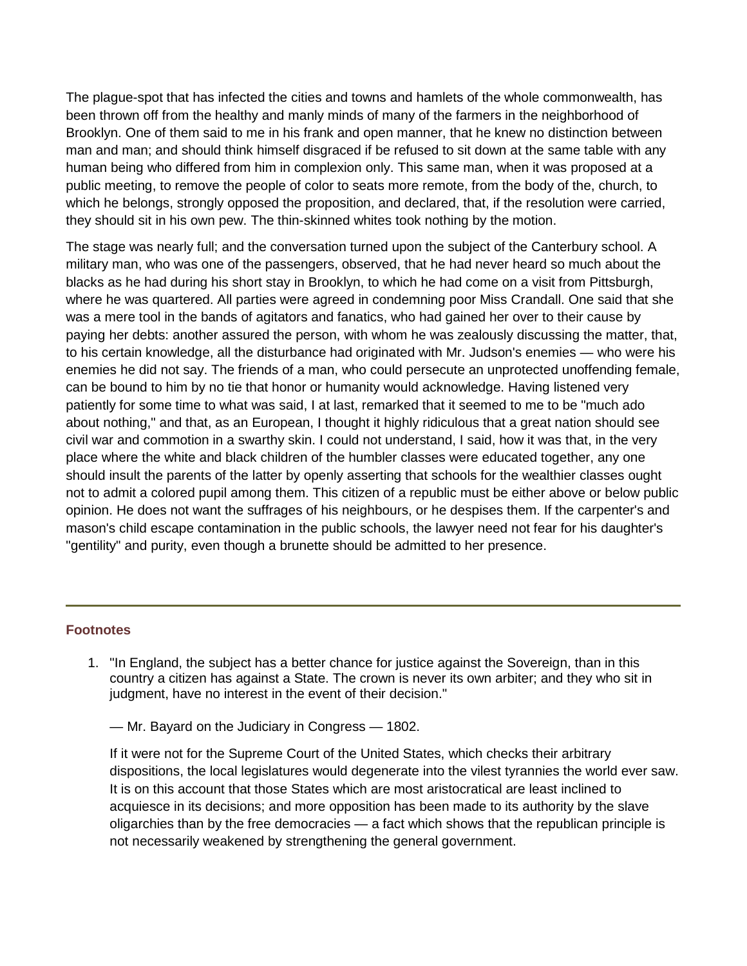The plague-spot that has infected the cities and towns and hamlets of the whole commonwealth, has been thrown off from the healthy and manly minds of many of the farmers in the neighborhood of Brooklyn. One of them said to me in his frank and open manner, that he knew no distinction between man and man; and should think himself disgraced if be refused to sit down at the same table with any human being who differed from him in complexion only. This same man, when it was proposed at a public meeting, to remove the people of color to seats more remote, from the body of the, church, to which he belongs, strongly opposed the proposition, and declared, that, if the resolution were carried, they should sit in his own pew. The thin-skinned whites took nothing by the motion.

The stage was nearly full; and the conversation turned upon the subject of the Canterbury school. A military man, who was one of the passengers, observed, that he had never heard so much about the blacks as he had during his short stay in Brooklyn, to which he had come on a visit from Pittsburgh, where he was quartered. All parties were agreed in condemning poor Miss Crandall. One said that she was a mere tool in the bands of agitators and fanatics, who had gained her over to their cause by paying her debts: another assured the person, with whom he was zealously discussing the matter, that, to his certain knowledge, all the disturbance had originated with Mr. Judson's enemies — who were his enemies he did not say. The friends of a man, who could persecute an unprotected unoffending female, can be bound to him by no tie that honor or humanity would acknowledge. Having listened very patiently for some time to what was said, I at last, remarked that it seemed to me to be "much ado about nothing," and that, as an European, I thought it highly ridiculous that a great nation should see civil war and commotion in a swarthy skin. I could not understand, I said, how it was that, in the very place where the white and black children of the humbler classes were educated together, any one should insult the parents of the latter by openly asserting that schools for the wealthier classes ought not to admit a colored pupil among them. This citizen of a republic must be either above or below public opinion. He does not want the suffrages of his neighbours, or he despises them. If the carpenter's and mason's child escape contamination in the public schools, the lawyer need not fear for his daughter's "gentility" and purity, even though a brunette should be admitted to her presence.

## **Footnotes**

1. "In England, the subject has a better chance for justice against the Sovereign, than in this country a citizen has against a State. The crown is never its own arbiter; and they who sit in judgment, have no interest in the event of their decision."

— Mr. Bayard on the Judiciary in Congress — 1802.

If it were not for the Supreme Court of the United States, which checks their arbitrary dispositions, the local legislatures would degenerate into the vilest tyrannies the world ever saw. It is on this account that those States which are most aristocratical are least inclined to acquiesce in its decisions; and more opposition has been made to its authority by the slave oligarchies than by the free democracies — a fact which shows that the republican principle is not necessarily weakened by strengthening the general government.